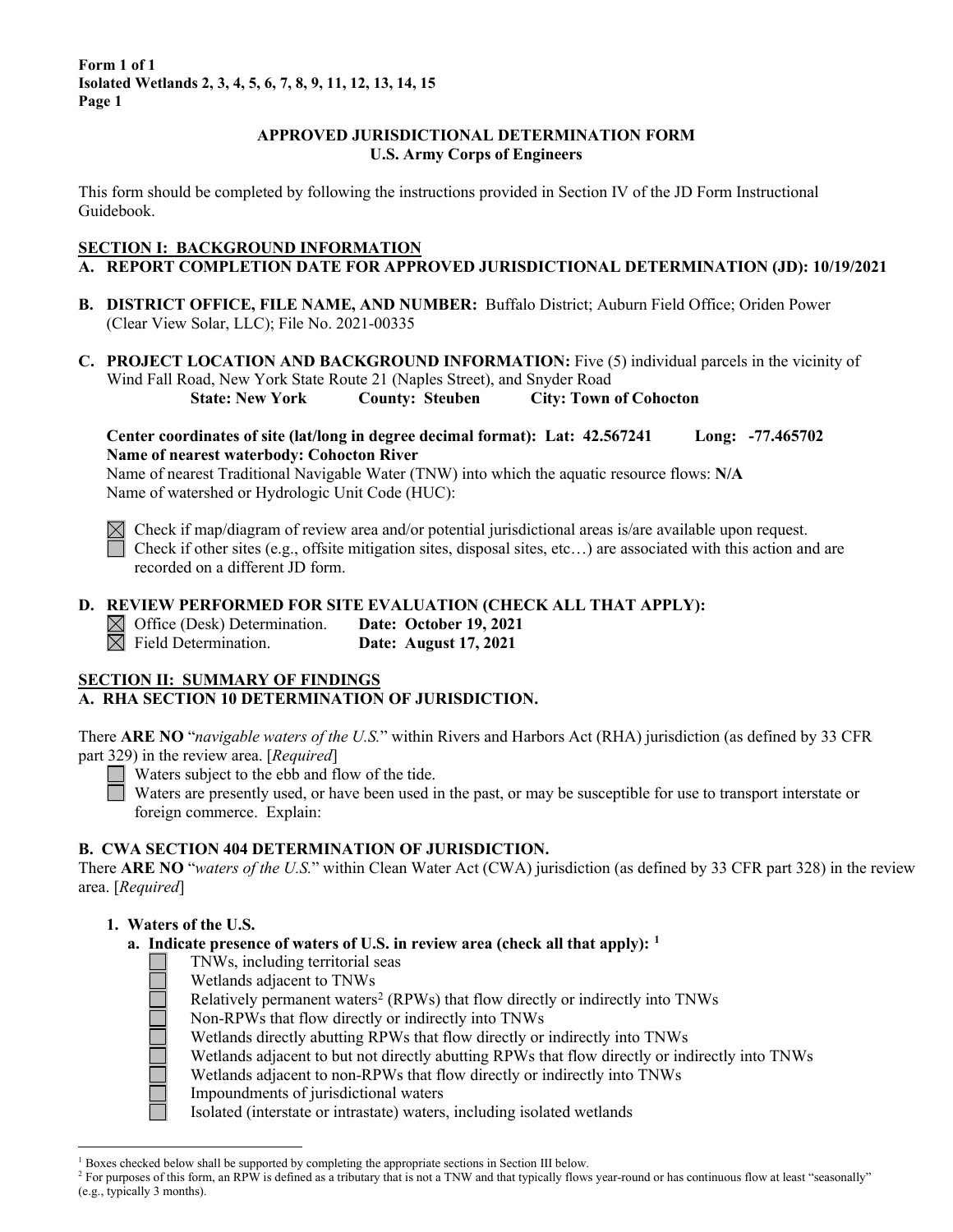#### **APPROVED JURISDICTIONAL DETERMINATION FORM U.S. Army Corps of Engineers**

This form should be completed by following the instructions provided in Section IV of the JD Form Instructional Guidebook.

#### **SECTION I: BACKGROUND INFORMATION**

## **A. REPORT COMPLETION DATE FOR APPROVED JURISDICTIONAL DETERMINATION (JD): 10/19/2021**

- **B. DISTRICT OFFICE, FILE NAME, AND NUMBER:** Buffalo District; Auburn Field Office; Oriden Power (Clear View Solar, LLC); File No. 2021-00335
- **C. PROJECT LOCATION AND BACKGROUND INFORMATION:** Five (5) individual parcels in the vicinity of Wind Fall Road, New York State Route 21 (Naples Street), and Snyder Road **State: New York County: Steuben City: Town of Cohocton**

**Center coordinates of site (lat/long in degree decimal format): Lat: 42.567241 Long: -77.465702 Name of nearest waterbody: Cohocton River**

Name of nearest Traditional Navigable Water (TNW) into which the aquatic resource flows: **N/A** Name of watershed or Hydrologic Unit Code (HUC):



 $\boxtimes$  Check if map/diagram of review area and/or potential jurisdictional areas is/are available upon request. Check if other sites (e.g., offsite mitigation sites, disposal sites, etc...) are associated with this action and are recorded on a different JD form.

#### **D. REVIEW PERFORMED FOR SITE EVALUATION (CHECK ALL THAT APPLY):**

<p>✓ Office (Desk) Determination.</p>\n<p>Date: October 19, 2021</p>\n<p>✓ Field Determination.</p>\n<p>Date: August 17, 2021</p> **Date: August 17, 2021** 

## **SECTION II: SUMMARY OF FINDINGS**

## **A. RHA SECTION 10 DETERMINATION OF JURISDICTION.**

There **ARE NO** "*navigable waters of the U.S.*" within Rivers and Harbors Act (RHA) jurisdiction (as defined by 33 CFR part 329) in the review area. [*Required*]

 $\Box$  Waters subject to the ebb and flow of the tide.

Waters are presently used, or have been used in the past, or may be susceptible for use to transport interstate or foreign commerce. Explain:

## **B. CWA SECTION 404 DETERMINATION OF JURISDICTION.**

There **ARE NO** "*waters of the U.S.*" within Clean Water Act (CWA) jurisdiction (as defined by 33 CFR part 328) in the review area. [*Required*]

## **1. Waters of the U.S.**

**a. Indicate presence of waters of U.S. in review area (check all that apply): [1](#page-0-0)**

- TNWs, including territorial seas
- Wetlands adjacent to TNWs
- Relatively permanent waters<sup>[2](#page-0-1)</sup> (RPWs) that flow directly or indirectly into TNWs
- Non-RPWs that flow directly or indirectly into TNWs
- Wetlands directly abutting RPWs that flow directly or indirectly into TNWs
- Wetlands adjacent to but not directly abutting RPWs that flow directly or indirectly into TNWs
- Wetlands adjacent to non-RPWs that flow directly or indirectly into TNWs
- Impoundments of jurisdictional waters

Isolated (interstate or intrastate) waters, including isolated wetlands

<span id="page-0-0"></span> $1$  Boxes checked below shall be supported by completing the appropriate sections in Section III below.

<span id="page-0-1"></span><sup>&</sup>lt;sup>2</sup> For purposes of this form, an RPW is defined as a tributary that is not a TNW and that typically flows year-round or has continuous flow at least "seasonally" (e.g., typically 3 months).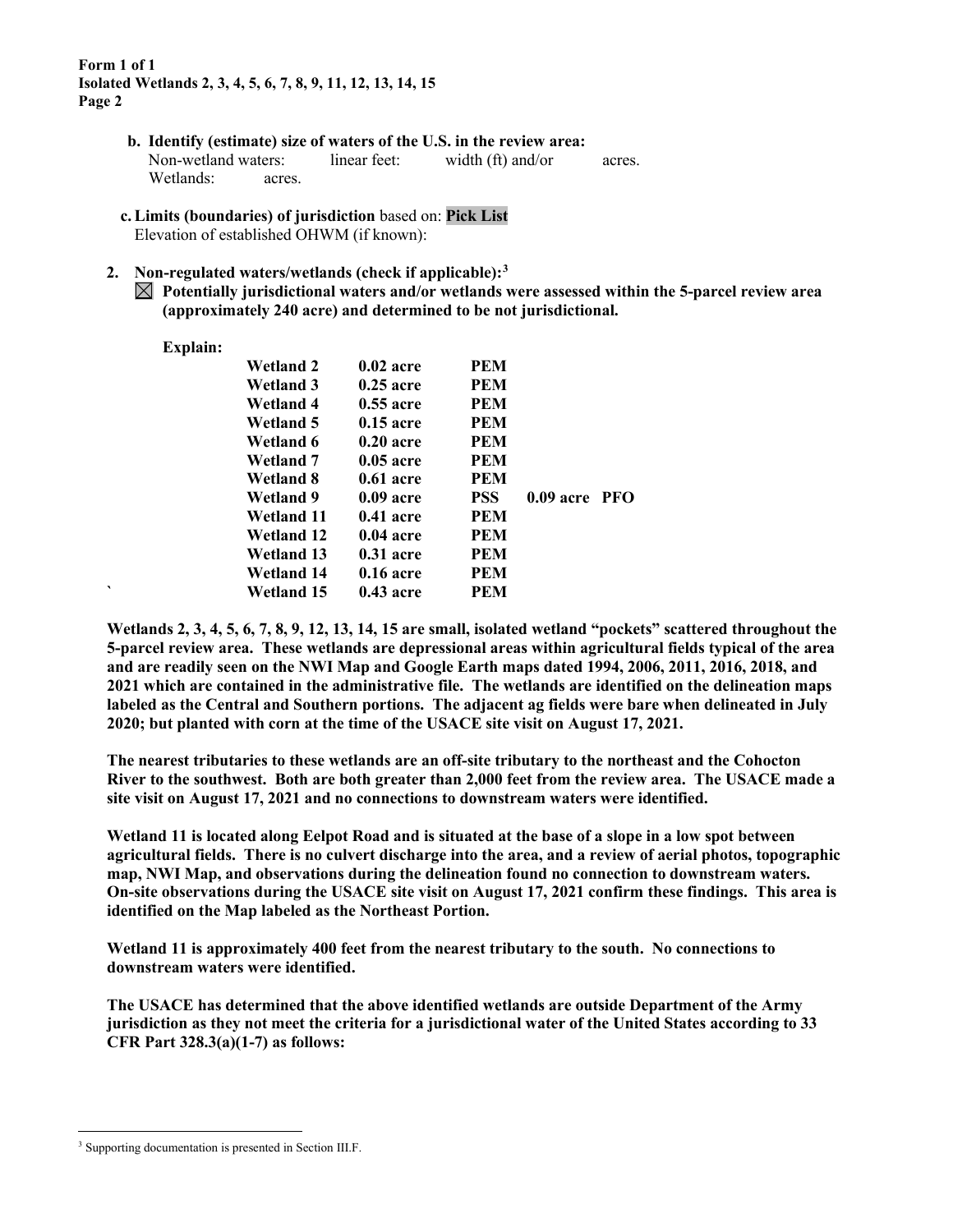- **b. Identify (estimate) size of waters of the U.S. in the review area:** Non-wetland waters: linear feet: width (ft) and/or acres. Wetlands: acres.
- **c.Limits (boundaries) of jurisdiction** based on: **Pick List** Elevation of established OHWM (if known):

#### **2. Non-regulated waters/wetlands (check if applicable):[3](#page-1-0)**

**Potentially jurisdictional waters and/or wetlands were assessed within the 5-parcel review area (approximately 240 acre) and determined to be not jurisdictional.** 

#### **Explain:**

|   | <b>Wetland 2</b>  | $0.02$ acre | <b>PEM</b> |                 |  |
|---|-------------------|-------------|------------|-----------------|--|
|   | <b>Wetland 3</b>  | $0.25$ acre | <b>PEM</b> |                 |  |
|   | Wetland 4         | $0.55$ acre | <b>PEM</b> |                 |  |
|   | Wetland 5         | $0.15$ acre | <b>PEM</b> |                 |  |
|   | Wetland 6         | $0.20$ acre | <b>PEM</b> |                 |  |
|   | Wetland 7         | $0.05$ acre | <b>PEM</b> |                 |  |
|   | Wetland 8         | $0.61$ acre | <b>PEM</b> |                 |  |
|   | Wetland 9         | $0.09$ acre | <b>PSS</b> | $0.09$ acre PFO |  |
|   | Wetland 11        | $0.41$ acre | <b>PEM</b> |                 |  |
|   | <b>Wetland 12</b> | $0.04$ acre | <b>PEM</b> |                 |  |
|   | <b>Wetland 13</b> | $0.31$ acre | <b>PEM</b> |                 |  |
|   | <b>Wetland 14</b> | $0.16$ acre | <b>PEM</b> |                 |  |
| ◥ | Wetland 15        | $0.43$ acre | PEM        |                 |  |
|   |                   |             |            |                 |  |

**Wetlands 2, 3, 4, 5, 6, 7, 8, 9, 12, 13, 14, 15 are small, isolated wetland "pockets" scattered throughout the 5-parcel review area. These wetlands are depressional areas within agricultural fields typical of the area and are readily seen on the NWI Map and Google Earth maps dated 1994, 2006, 2011, 2016, 2018, and 2021 which are contained in the administrative file. The wetlands are identified on the delineation maps labeled as the Central and Southern portions. The adjacent ag fields were bare when delineated in July 2020; but planted with corn at the time of the USACE site visit on August 17, 2021.** 

**The nearest tributaries to these wetlands are an off-site tributary to the northeast and the Cohocton River to the southwest. Both are both greater than 2,000 feet from the review area. The USACE made a site visit on August 17, 2021 and no connections to downstream waters were identified.**

**Wetland 11 is located along Eelpot Road and is situated at the base of a slope in a low spot between agricultural fields. There is no culvert discharge into the area, and a review of aerial photos, topographic map, NWI Map, and observations during the delineation found no connection to downstream waters. On-site observations during the USACE site visit on August 17, 2021 confirm these findings. This area is identified on the Map labeled as the Northeast Portion.**

**Wetland 11 is approximately 400 feet from the nearest tributary to the south. No connections to downstream waters were identified.** 

**The USACE has determined that the above identified wetlands are outside Department of the Army jurisdiction as they not meet the criteria for a jurisdictional water of the United States according to 33 CFR Part 328.3(a)(1-7) as follows:**

<span id="page-1-0"></span><sup>&</sup>lt;sup>3</sup> Supporting documentation is presented in Section III.F.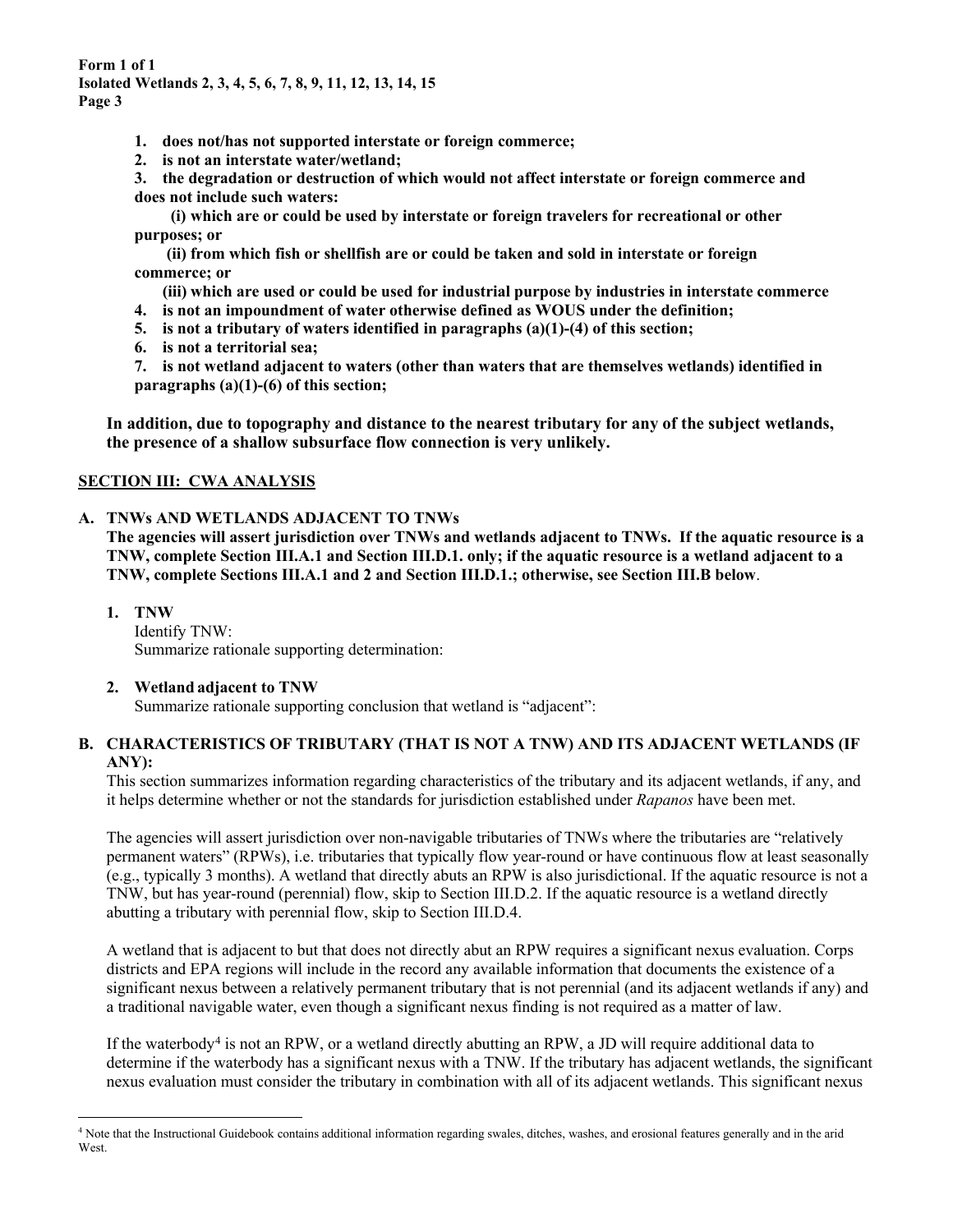- **1. does not/has not supported interstate or foreign commerce;**
- **2. is not an interstate water/wetland;**
- **3. the degradation or destruction of which would not affect interstate or foreign commerce and does not include such waters:**

 **(i) which are or could be used by interstate or foreign travelers for recreational or other purposes; or**

**(ii) from which fish or shellfish are or could be taken and sold in interstate or foreign commerce; or**

**(iii) which are used or could be used for industrial purpose by industries in interstate commerce**

- **4. is not an impoundment of water otherwise defined as WOUS under the definition;**
- **5. is not a tributary of waters identified in paragraphs (a)(1)-(4) of this section;**
- **6. is not a territorial sea;**

**7. is not wetland adjacent to waters (other than waters that are themselves wetlands) identified in paragraphs (a)(1)-(6) of this section;**

**In addition, due to topography and distance to the nearest tributary for any of the subject wetlands, the presence of a shallow subsurface flow connection is very unlikely.**

## **SECTION III: CWA ANALYSIS**

## **A. TNWs AND WETLANDS ADJACENT TO TNWs**

**The agencies will assert jurisdiction over TNWs and wetlands adjacent to TNWs. If the aquatic resource is a TNW, complete Section III.A.1 and Section III.D.1. only; if the aquatic resource is a wetland adjacent to a TNW, complete Sections III.A.1 and 2 and Section III.D.1.; otherwise, see Section III.B below**.

**1. TNW** 

Identify TNW: Summarize rationale supporting determination:

## **2. Wetland adjacent to TNW**

Summarize rationale supporting conclusion that wetland is "adjacent":

## **B. CHARACTERISTICS OF TRIBUTARY (THAT IS NOT A TNW) AND ITS ADJACENT WETLANDS (IF ANY):**

This section summarizes information regarding characteristics of the tributary and its adjacent wetlands, if any, and it helps determine whether or not the standards for jurisdiction established under *Rapanos* have been met.

The agencies will assert jurisdiction over non-navigable tributaries of TNWs where the tributaries are "relatively permanent waters" (RPWs), i.e. tributaries that typically flow year-round or have continuous flow at least seasonally (e.g., typically 3 months). A wetland that directly abuts an RPW is also jurisdictional. If the aquatic resource is not a TNW, but has year-round (perennial) flow, skip to Section III.D.2. If the aquatic resource is a wetland directly abutting a tributary with perennial flow, skip to Section III.D.4.

A wetland that is adjacent to but that does not directly abut an RPW requires a significant nexus evaluation. Corps districts and EPA regions will include in the record any available information that documents the existence of a significant nexus between a relatively permanent tributary that is not perennial (and its adjacent wetlands if any) and a traditional navigable water, even though a significant nexus finding is not required as a matter of law.

If the waterbody<sup>[4](#page-2-0)</sup> is not an RPW, or a wetland directly abutting an RPW, a JD will require additional data to determine if the waterbody has a significant nexus with a TNW. If the tributary has adjacent wetlands, the significant nexus evaluation must consider the tributary in combination with all of its adjacent wetlands. This significant nexus

<span id="page-2-0"></span><sup>4</sup> Note that the Instructional Guidebook contains additional information regarding swales, ditches, washes, and erosional features generally and in the arid **West**.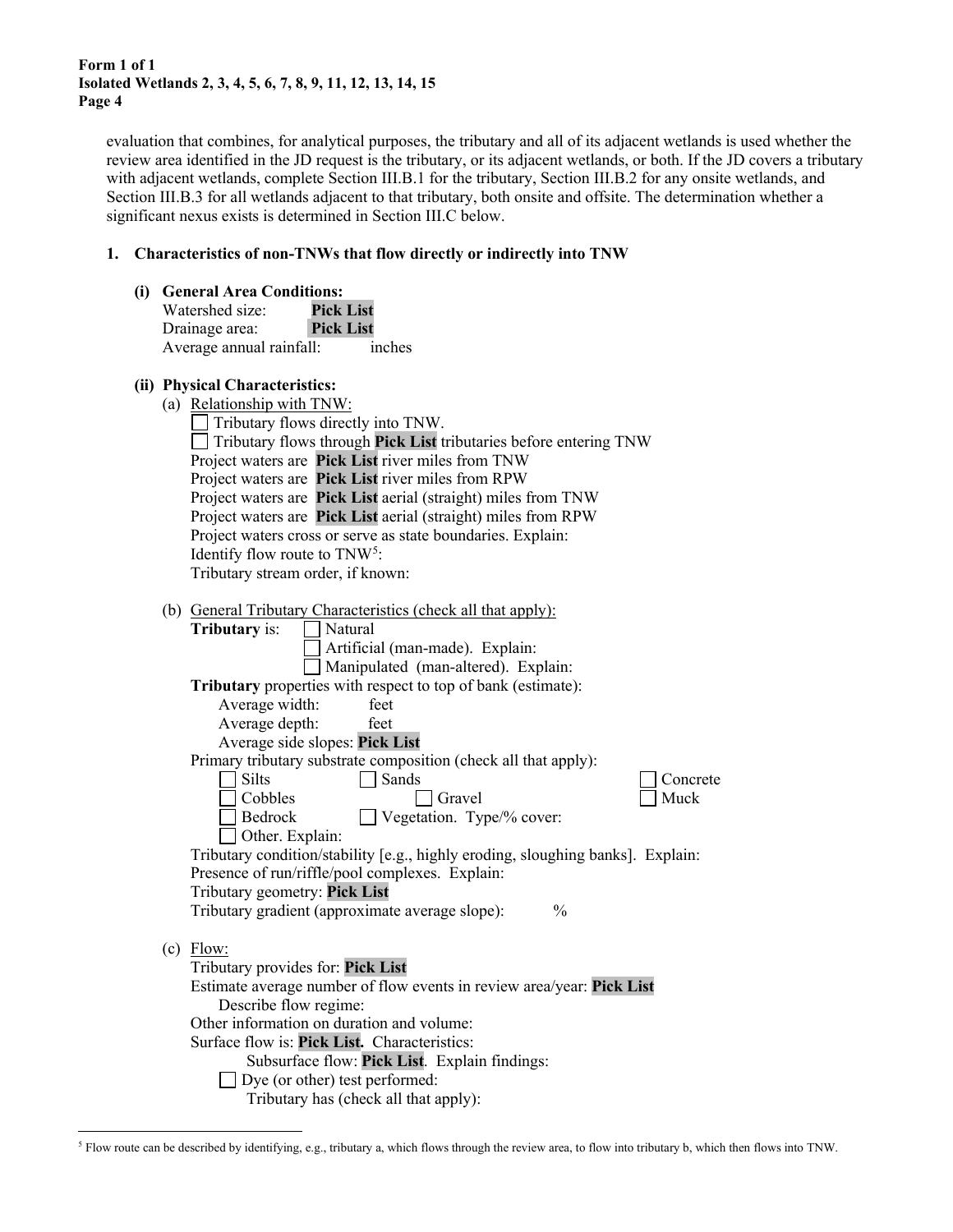evaluation that combines, for analytical purposes, the tributary and all of its adjacent wetlands is used whether the review area identified in the JD request is the tributary, or its adjacent wetlands, or both. If the JD covers a tributary with adjacent wetlands, complete Section III.B.1 for the tributary, Section III.B.2 for any onsite wetlands, and Section III.B.3 for all wetlands adjacent to that tributary, both onsite and offsite. The determination whether a significant nexus exists is determined in Section III.C below.

#### **1. Characteristics of non-TNWs that flow directly or indirectly into TNW**

**(i) General Area Conditions:**

| Watershed size:          | <b>Pick List</b> |
|--------------------------|------------------|
| Drainage area:           | <b>Pick List</b> |
| Average annual rainfall: | inches           |

#### **(ii) Physical Characteristics:**

| (a) Relationship with TNW: |
|----------------------------|
|----------------------------|

| $\Box$ Tributary flows directly into TNW.                                       |
|---------------------------------------------------------------------------------|
| $\Box$ Tributary flows through <b>Pick List</b> tributaries before entering TNW |
| Project waters are Pick List river miles from TNW                               |
| Project waters are Pick List river miles from RPW                               |
| Project waters are Pick List aerial (straight) miles from TNW                   |
| Project waters are Pick List aerial (straight) miles from RPW                   |
| Project waters cross or serve as state boundaries. Explain:                     |
| Identify flow route to $TNW^5$ :                                                |
| Tributary stream order, if known:                                               |

(b) General Tributary Characteristics (check all that apply):

|     | <b>Tributary</b> is:<br>Natural                                                 |
|-----|---------------------------------------------------------------------------------|
|     | Artificial (man-made). Explain:                                                 |
|     | Manipulated (man-altered). Explain:                                             |
|     | Tributary properties with respect to top of bank (estimate):                    |
|     | Average width:<br>feet                                                          |
|     | Average depth:<br>feet                                                          |
|     | Average side slopes: Pick List                                                  |
|     | Primary tributary substrate composition (check all that apply):                 |
|     | <b>Silts</b><br>Sands<br>Concrete                                               |
|     | Muck<br>Cobbles<br>Gravel                                                       |
|     | Bedrock<br>Vegetation. Type/% cover:                                            |
|     | Other. Explain:                                                                 |
|     | Tributary condition/stability [e.g., highly eroding, sloughing banks]. Explain: |
|     | Presence of run/riffle/pool complexes. Explain:                                 |
|     | Tributary geometry: Pick List                                                   |
|     | Tributary gradient (approximate average slope):<br>$\frac{0}{0}$                |
|     |                                                                                 |
| (c) | Flow:                                                                           |
|     | Tributary provides for: Pick List                                               |
|     | Estimate average number of flow events in review area/year: Pick List           |
|     | Describe flow regime:                                                           |
|     | Other information on duration and volume:                                       |
|     | Surface flow is: Pick List. Characteristics:                                    |
|     | Subsurface flow: Pick List. Explain findings:                                   |
|     | Dye (or other) test performed:                                                  |
|     | Tributary has (check all that apply):                                           |
|     |                                                                                 |

<span id="page-3-0"></span><sup>5</sup> Flow route can be described by identifying, e.g., tributary a, which flows through the review area, to flow into tributary b, which then flows into TNW.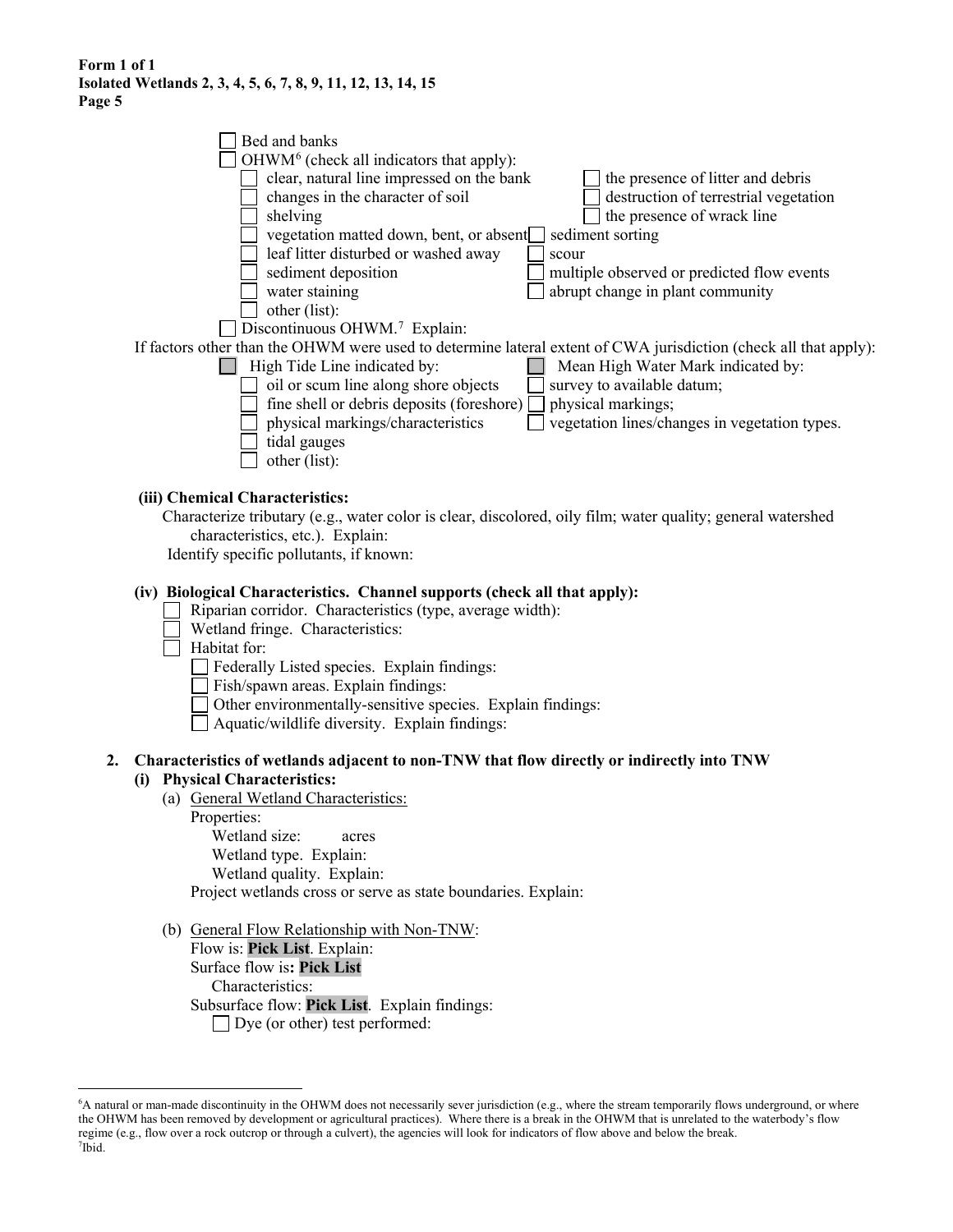|    | Bed and banks                                                                                                                            |
|----|------------------------------------------------------------------------------------------------------------------------------------------|
|    | OHWM <sup>6</sup> (check all indicators that apply):                                                                                     |
|    | clear, natural line impressed on the bank<br>the presence of litter and debris                                                           |
|    | changes in the character of soil<br>destruction of terrestrial vegetation                                                                |
|    | the presence of wrack line<br>shelving                                                                                                   |
|    | vegetation matted down, bent, or absent<br>sediment sorting                                                                              |
|    | leaf litter disturbed or washed away<br>scour                                                                                            |
|    | sediment deposition<br>multiple observed or predicted flow events                                                                        |
|    | water staining<br>abrupt change in plant community                                                                                       |
|    | other (list):                                                                                                                            |
|    | Discontinuous OHWM. <sup>7</sup> Explain:                                                                                                |
|    | If factors other than the OHWM were used to determine lateral extent of CWA jurisdiction (check all that apply):                         |
|    | High Tide Line indicated by:<br>Mean High Water Mark indicated by:<br>oil or scum line along shore objects<br>survey to available datum; |
|    | fine shell or debris deposits (foreshore)<br>physical markings;                                                                          |
|    | physical markings/characteristics<br>vegetation lines/changes in vegetation types.                                                       |
|    | tidal gauges                                                                                                                             |
|    | other (list):                                                                                                                            |
|    |                                                                                                                                          |
|    | (iii) Chemical Characteristics:                                                                                                          |
|    | Characterize tributary (e.g., water color is clear, discolored, oily film; water quality; general watershed                              |
|    | characteristics, etc.). Explain:                                                                                                         |
|    | Identify specific pollutants, if known:                                                                                                  |
|    |                                                                                                                                          |
|    | (iv) Biological Characteristics. Channel supports (check all that apply):                                                                |
|    | Riparian corridor. Characteristics (type, average width):<br>Wetland fringe. Characteristics:                                            |
|    | Habitat for:                                                                                                                             |
|    | Federally Listed species. Explain findings:                                                                                              |
|    | Fish/spawn areas. Explain findings:                                                                                                      |
|    | Other environmentally-sensitive species. Explain findings:                                                                               |
|    | Aquatic/wildlife diversity. Explain findings:                                                                                            |
|    |                                                                                                                                          |
| 2. | Characteristics of wetlands adjacent to non-TNW that flow directly or indirectly into TNW                                                |
|    | (i) Physical Characteristics:                                                                                                            |
|    | (a) General Wetland Characteristics:                                                                                                     |
|    | Properties:                                                                                                                              |
|    | Wetland size:<br>acres                                                                                                                   |
|    | Wetland type. Explain:                                                                                                                   |
|    | Wetland quality. Explain:                                                                                                                |
|    | Project wetlands cross or serve as state boundaries. Explain:                                                                            |
|    | (b) General Flow Relationship with Non-TNW:                                                                                              |
|    | Flow is: Pick List. Explain:                                                                                                             |
|    | Surface flow is: Pick List                                                                                                               |
|    | Characteristics:                                                                                                                         |
|    |                                                                                                                                          |

Subsurface flow: **Pick List**. Explain findings:

□ Dye (or other) test performed:

<span id="page-4-1"></span><span id="page-4-0"></span><sup>6</sup> A natural or man-made discontinuity in the OHWM does not necessarily sever jurisdiction (e.g., where the stream temporarily flows underground, or where the OHWM has been removed by development or agricultural practices). Where there is a break in the OHWM that is unrelated to the waterbody's flow regime (e.g., flow over a rock outcrop or through a culvert), the agencies will look for indicators of flow above and below the break. 7 Ibid.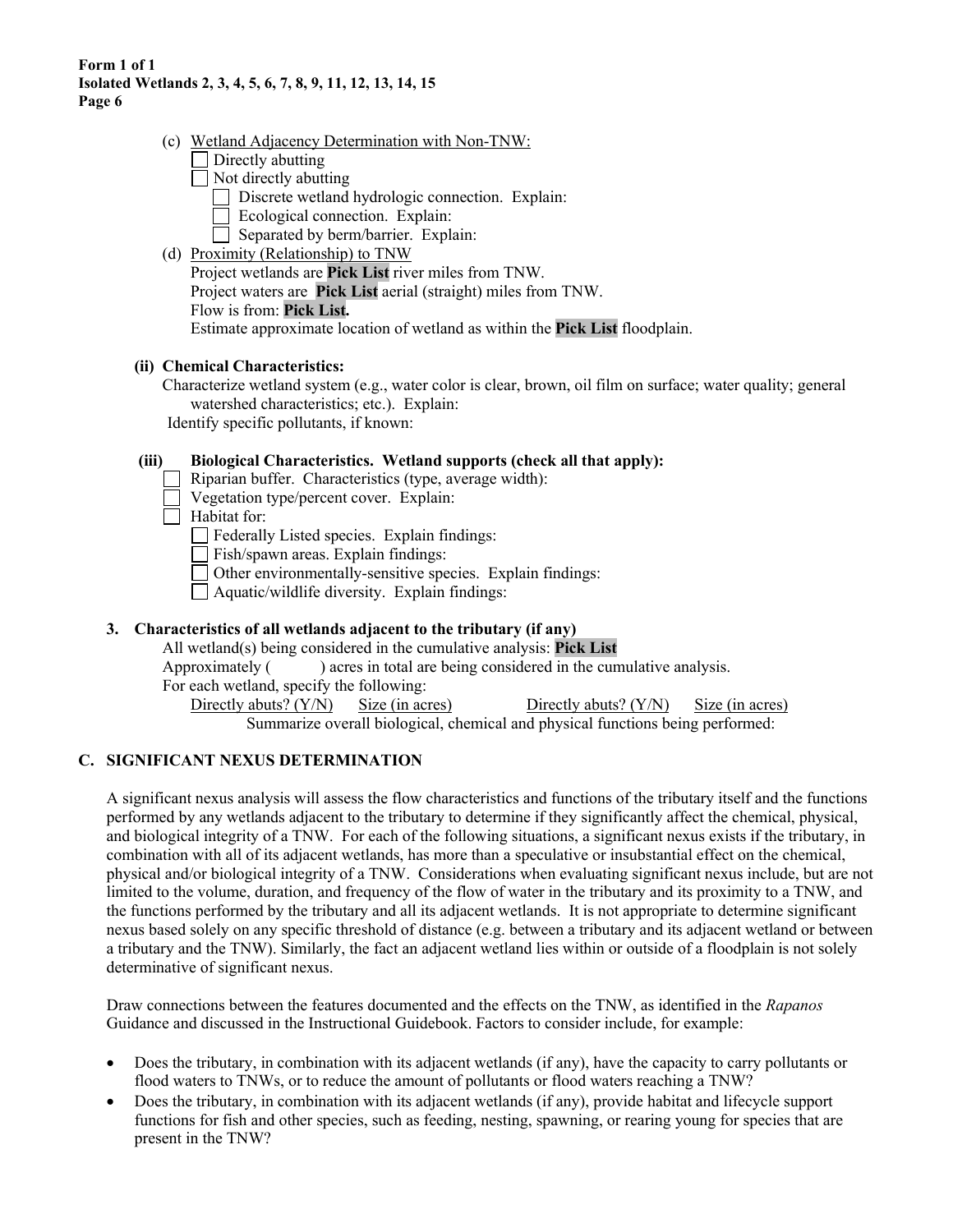- (c) Wetland Adjacency Determination with Non-TNW:
	- $\Box$  Directly abutting
	- $\Box$  Not directly abutting
		- Discrete wetland hydrologic connection. Explain:
		- Ecological connection. Explain:
		- $\Box$  Separated by berm/barrier. Explain:
- (d) Proximity (Relationship) to TNW Project wetlands are **Pick List** river miles from TNW. Project waters are **Pick List** aerial (straight) miles from TNW. Flow is from: **Pick List.** Estimate approximate location of wetland as within the **Pick List** floodplain.

## **(ii) Chemical Characteristics:**

Characterize wetland system (e.g., water color is clear, brown, oil film on surface; water quality; general watershed characteristics; etc.). Explain: Identify specific pollutants, if known:

## **(iii) Biological Characteristics. Wetland supports (check all that apply):**

- Riparian buffer. Characteristics (type, average width):
- Vegetation type/percent cover. Explain:
- $\Box$  Habitat for:

Federally Listed species. Explain findings:

Fish/spawn areas. Explain findings:

Other environmentally-sensitive species. Explain findings:

 $\Box$  Aquatic/wildlife diversity. Explain findings:

## **3. Characteristics of all wetlands adjacent to the tributary (if any)**

All wetland(s) being considered in the cumulative analysis: **Pick List**

Approximately ( ) acres in total are being considered in the cumulative analysis.

For each wetland, specify the following:

Directly abuts? (Y/N) Size (in acres) Directly abuts? (Y/N) Size (in acres)

Summarize overall biological, chemical and physical functions being performed:

## **C. SIGNIFICANT NEXUS DETERMINATION**

A significant nexus analysis will assess the flow characteristics and functions of the tributary itself and the functions performed by any wetlands adjacent to the tributary to determine if they significantly affect the chemical, physical, and biological integrity of a TNW. For each of the following situations, a significant nexus exists if the tributary, in combination with all of its adjacent wetlands, has more than a speculative or insubstantial effect on the chemical, physical and/or biological integrity of a TNW. Considerations when evaluating significant nexus include, but are not limited to the volume, duration, and frequency of the flow of water in the tributary and its proximity to a TNW, and the functions performed by the tributary and all its adjacent wetlands. It is not appropriate to determine significant nexus based solely on any specific threshold of distance (e.g. between a tributary and its adjacent wetland or between a tributary and the TNW). Similarly, the fact an adjacent wetland lies within or outside of a floodplain is not solely determinative of significant nexus.

Draw connections between the features documented and the effects on the TNW, as identified in the *Rapanos* Guidance and discussed in the Instructional Guidebook. Factors to consider include, for example:

- Does the tributary, in combination with its adjacent wetlands (if any), have the capacity to carry pollutants or flood waters to TNWs, or to reduce the amount of pollutants or flood waters reaching a TNW?
- Does the tributary, in combination with its adjacent wetlands (if any), provide habitat and lifecycle support functions for fish and other species, such as feeding, nesting, spawning, or rearing young for species that are present in the TNW?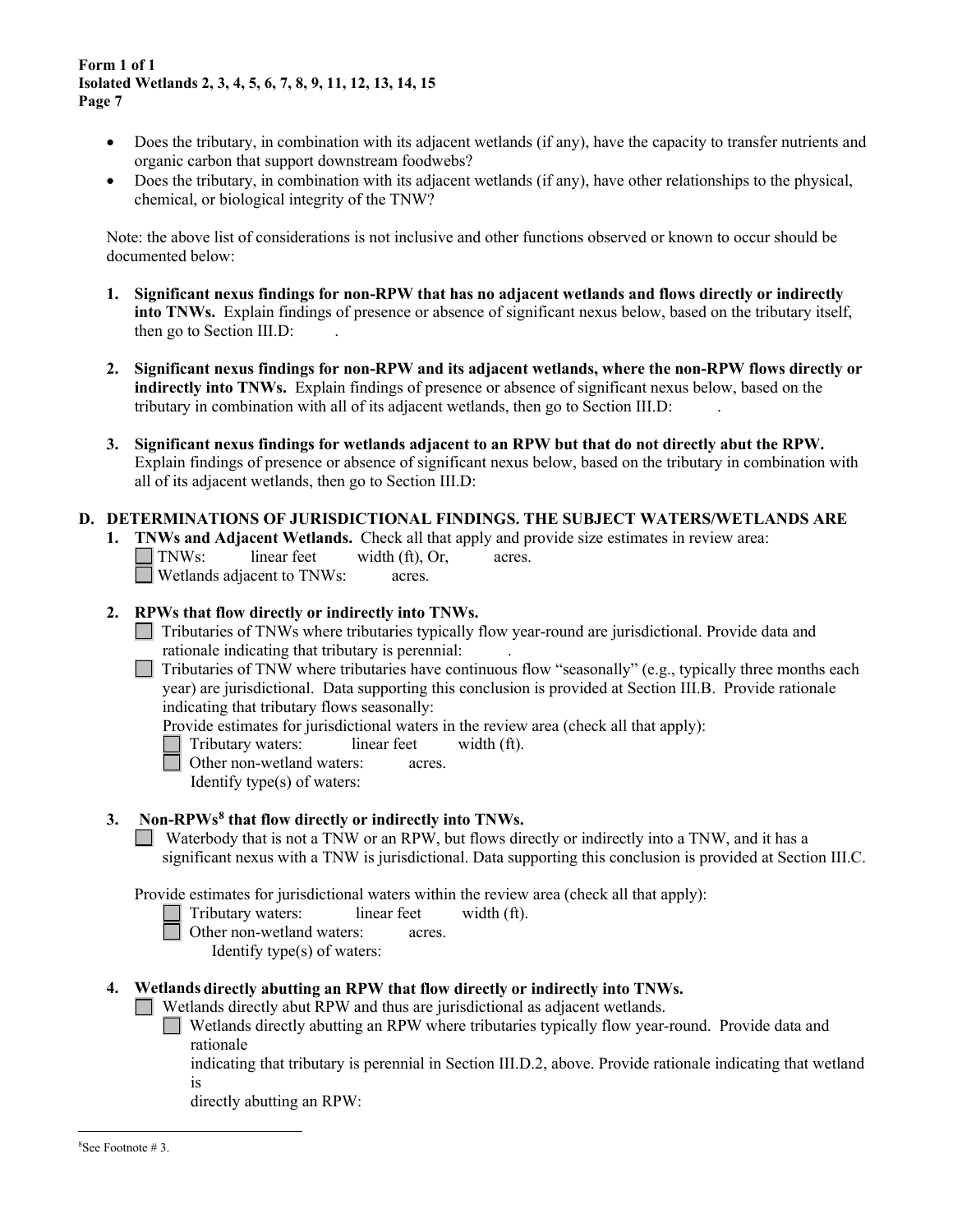- Does the tributary, in combination with its adjacent wetlands (if any), have the capacity to transfer nutrients and organic carbon that support downstream foodwebs?
- Does the tributary, in combination with its adjacent wetlands (if any), have other relationships to the physical, chemical, or biological integrity of the TNW?

Note: the above list of considerations is not inclusive and other functions observed or known to occur should be documented below:

- **1. Significant nexus findings for non-RPW that has no adjacent wetlands and flows directly or indirectly into TNWs.** Explain findings of presence or absence of significant nexus below, based on the tributary itself, then go to Section III.D: .
- **2. Significant nexus findings for non-RPW and its adjacent wetlands, where the non-RPW flows directly or indirectly into TNWs.** Explain findings of presence or absence of significant nexus below, based on the tributary in combination with all of its adjacent wetlands, then go to Section III.D: .
- **3. Significant nexus findings for wetlands adjacent to an RPW but that do not directly abut the RPW.** Explain findings of presence or absence of significant nexus below, based on the tributary in combination with all of its adjacent wetlands, then go to Section III.D:

## **D. DETERMINATIONS OF JURISDICTIONAL FINDINGS. THE SUBJECT WATERS/WETLANDS ARE**

**1. <b>TNWs and Adjacent Wetlands.** Check all that apply and provide size estimates in review area:<br>
TNWs: linear feet width (ft), Or, acres.  $linear feet \t width (ft), Or, \t acres.$ Wetlands adjacent to TNWs: acres.

#### **2. RPWs that flow directly or indirectly into TNWs.**

- Tributaries of TNWs where tributaries typically flow year-round are jurisdictional. Provide data and rationale indicating that tributary is perennial: .
- $\Box$  Tributaries of TNW where tributaries have continuous flow "seasonally" (e.g., typically three months each year) are jurisdictional. Data supporting this conclusion is provided at Section III.B. Provide rationale indicating that tributary flows seasonally:

Provide estimates for jurisdictional waters in the review area (check all that apply):

- Tributary waters: linear feet width (ft).<br>
Other non-wetland waters: acres.
	- Other non-wetland waters: acres.
		- Identify type(s) of waters:

## **3. Non-RPWs[8](#page-6-0) that flow directly or indirectly into TNWs.**

Waterbody that is not a TNW or an RPW, but flows directly or indirectly into a TNW, and it has a significant nexus with a TNW is jurisdictional. Data supporting this conclusion is provided at Section III.C.

Provide estimates for jurisdictional waters within the review area (check all that apply):

- Tributary waters: linear feet width (ft).
- Other non-wetland waters: acres.

Identify type(s) of waters:

## <span id="page-6-0"></span>**4. Wetlands directly abutting an RPW that flow directly or indirectly into TNWs.**

Wetlands directly abut RPW and thus are jurisdictional as adjacent wetlands.

Wetlands directly abutting an RPW where tributaries typically flow year-round. Provide data and rationale

indicating that tributary is perennial in Section III.D.2, above. Provide rationale indicating that wetland is

directly abutting an RPW: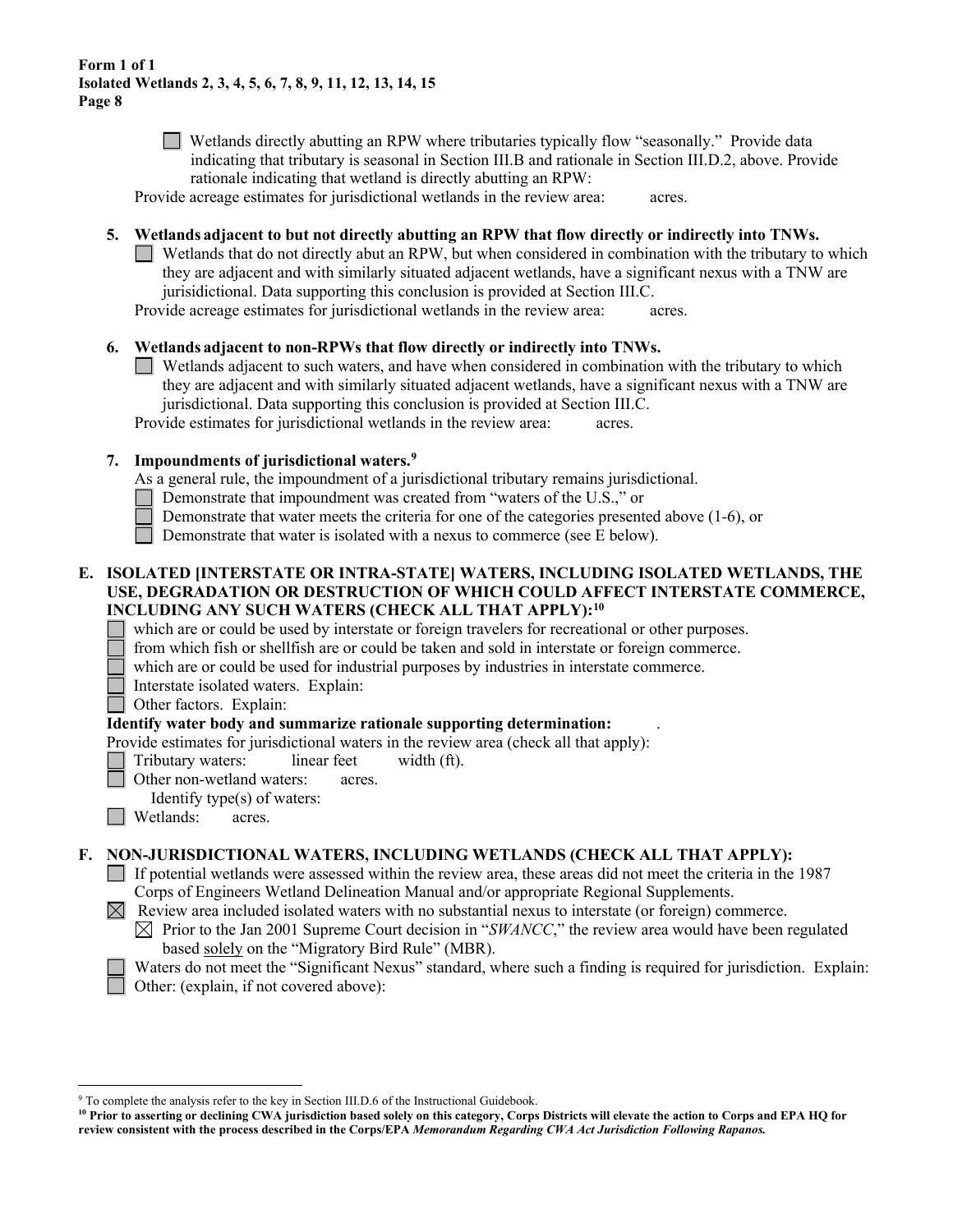Wetlands directly abutting an RPW where tributaries typically flow "seasonally." Provide data indicating that tributary is seasonal in Section III.B and rationale in Section III.D.2, above. Provide rationale indicating that wetland is directly abutting an RPW:

Provide acreage estimates for jurisdictional wetlands in the review area: acres.

- **5. Wetlands adjacent to but not directly abutting an RPW that flow directly or indirectly into TNWs.**
	- $\Box$  Wetlands that do not directly abut an RPW, but when considered in combination with the tributary to which they are adjacent and with similarly situated adjacent wetlands, have a significant nexus with a TNW are jurisidictional. Data supporting this conclusion is provided at Section III.C.

Provide acreage estimates for jurisdictional wetlands in the review area: acres.

- **6. Wetlands adjacent to non-RPWs that flow directly or indirectly into TNWs.** 
	- Wetlands adjacent to such waters, and have when considered in combination with the tributary to which they are adjacent and with similarly situated adjacent wetlands, have a significant nexus with a TNW are jurisdictional. Data supporting this conclusion is provided at Section III.C.

Provide estimates for jurisdictional wetlands in the review area: acres.

#### **7. Impoundments of jurisdictional waters. [9](#page-7-0)**

- As a general rule, the impoundment of a jurisdictional tributary remains jurisdictional.
- Demonstrate that impoundment was created from "waters of the U.S.," or
- Demonstrate that water meets the criteria for one of the categories presented above (1-6), or
- Demonstrate that water is isolated with a nexus to commerce (see E below).

## **E. ISOLATED [INTERSTATE OR INTRA-STATE] WATERS, INCLUDING ISOLATED WETLANDS, THE USE, DEGRADATION OR DESTRUCTION OF WHICH COULD AFFECT INTERSTATE COMMERCE, INCLUDING ANY SUCH WATERS (CHECK ALL THAT APPLY)[:10](#page-7-1)**

which are or could be used by interstate or foreign travelers for recreational or other purposes.

- from which fish or shellfish are or could be taken and sold in interstate or foreign commerce.
- which are or could be used for industrial purposes by industries in interstate commerce.
- Interstate isolated waters.Explain:

Other factors.Explain:

#### **Identify water body and summarize rationale supporting determination:** .

Provide estimates for jurisdictional waters in the review area (check all that apply):

Tributary waters: linear feet width (ft).

- Other non-wetland waters: acres.
- Identify type(s) of waters:
- **I** Wetlands: acres.

## **F. NON-JURISDICTIONAL WATERS, INCLUDING WETLANDS (CHECK ALL THAT APPLY):**

- If potential wetlands were assessed within the review area, these areas did not meet the criteria in the 1987 Corps of Engineers Wetland Delineation Manual and/or appropriate Regional Supplements.
- $\boxtimes$  Review area included isolated waters with no substantial nexus to interstate (or foreign) commerce.
	- $\boxtimes$  Prior to the Jan 2001 Supreme Court decision in "*SWANCC*," the review area would have been regulated based solely on the "Migratory Bird Rule" (MBR).

Waters do not meet the "Significant Nexus" standard, where such a finding is required for jurisdiction. Explain: Other: (explain, if not covered above):

<span id="page-7-0"></span><sup>&</sup>lt;sup>9</sup> To complete the analysis refer to the key in Section III.D.6 of the Instructional Guidebook.

<span id="page-7-1"></span>**<sup>10</sup> Prior to asserting or declining CWA jurisdiction based solely on this category, Corps Districts will elevate the action to Corps and EPA HQ for review consistent with the process described in the Corps/EPA** *Memorandum Regarding CWA Act Jurisdiction Following Rapanos.*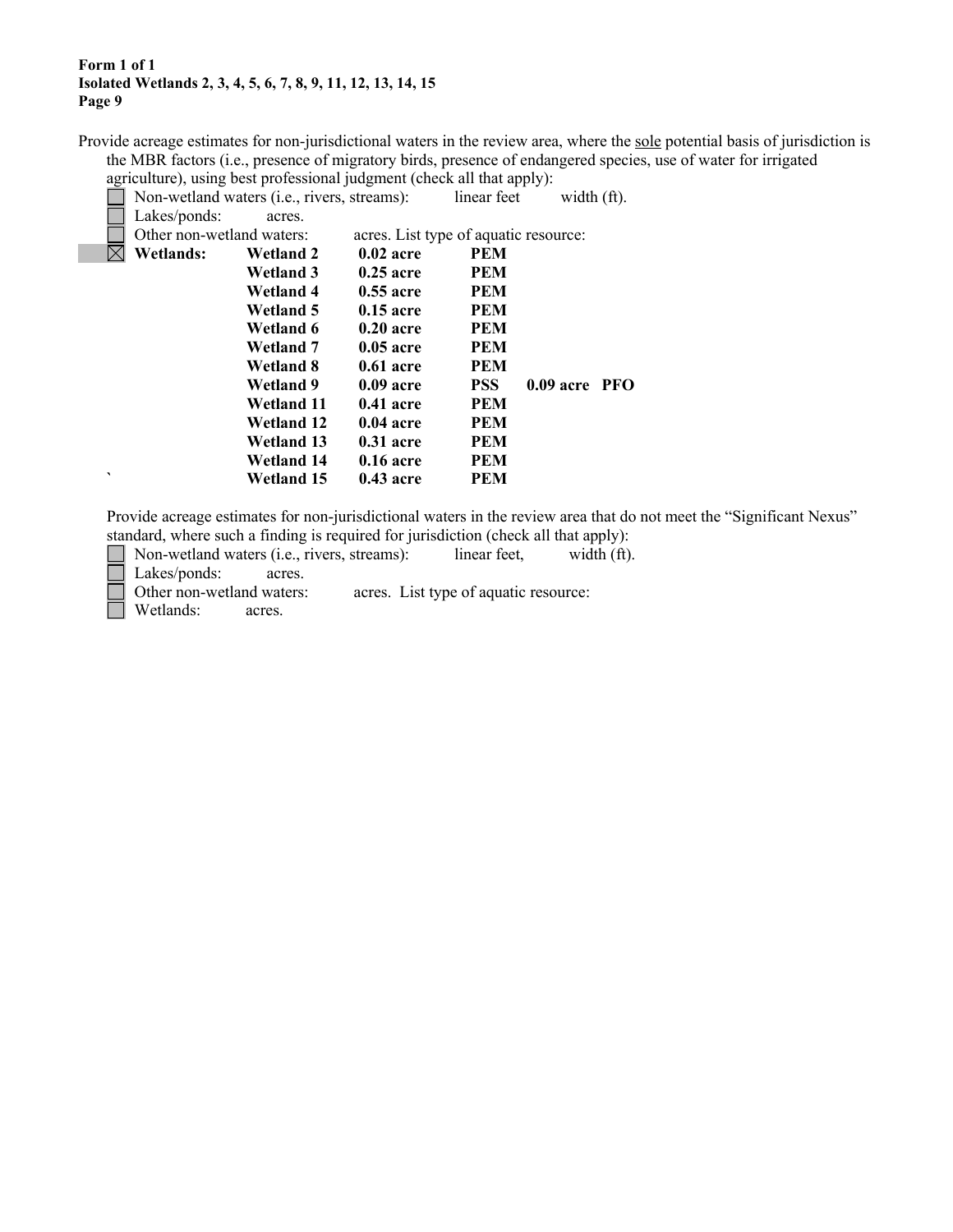Provide acreage estimates for non-jurisdictional waters in the review area, where the sole potential basis of jurisdiction is the MBR factors (i.e., presence of migratory birds, presence of endangered species, use of water for irrigated agriculture), using best professional judgment (check all that apply):

Non-wetland waters (i.e., rivers, streams): linear feet width (ft).

|             | Lakes/ponds:              | acres.            |                                       |            |                 |  |
|-------------|---------------------------|-------------------|---------------------------------------|------------|-----------------|--|
|             | Other non-wetland waters: |                   | acres. List type of aquatic resource: |            |                 |  |
| $\boxtimes$ | <b>Wetlands:</b>          | Wetland 2         | $0.02$ acre                           | <b>PEM</b> |                 |  |
|             |                           | Wetland 3         | $0.25$ acre                           | <b>PEM</b> |                 |  |
|             |                           | Wetland 4         | $0.55$ acre                           | <b>PEM</b> |                 |  |
|             |                           | Wetland 5         | $0.15$ acre                           | <b>PEM</b> |                 |  |
|             |                           | Wetland 6         | $0.20$ acre                           | <b>PEM</b> |                 |  |
|             |                           | Wetland 7         | $0.05$ acre                           | <b>PEM</b> |                 |  |
|             |                           | Wetland 8         | $0.61$ acre                           | <b>PEM</b> |                 |  |
|             |                           | Wetland 9         | $0.09$ acre                           | <b>PSS</b> | $0.09$ acre PFO |  |
|             |                           | <b>Wetland 11</b> | $0.41$ acre                           | <b>PEM</b> |                 |  |
|             |                           | <b>Wetland 12</b> | $0.04$ acre                           | <b>PEM</b> |                 |  |
|             |                           | <b>Wetland 13</b> | $0.31$ acre                           | <b>PEM</b> |                 |  |
|             |                           | <b>Wetland 14</b> | $0.16$ acre                           | <b>PEM</b> |                 |  |
| ◥           |                           | <b>Wetland 15</b> | $0.43$ acre                           | <b>PEM</b> |                 |  |
|             |                           |                   |                                       |            |                 |  |

Provide acreage estimates for non-jurisdictional waters in the review area that do not meet the "Significant Nexus" standard, where such a finding is required for jurisdiction (check all that apply):

| $\Box$ Non-wetland waters (i.e., rivers, streams): |  | linear feet, | width (ft). |
|----------------------------------------------------|--|--------------|-------------|

Lakes/ponds: acres.

Other non-wetland waters: acres. List type of aquatic resource:

Wetlands: acres.